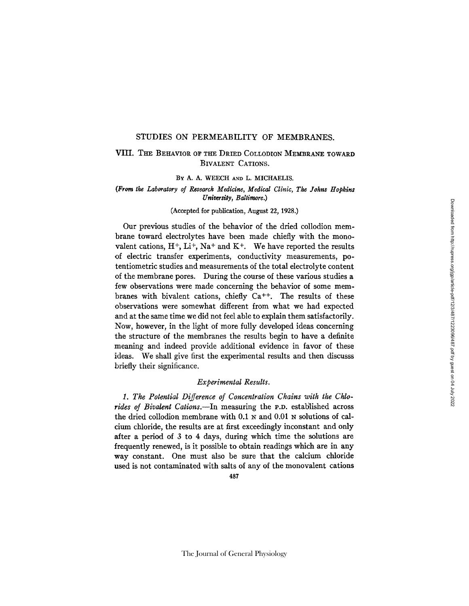#### STUDIES ON PERMEABILITY OF MEMBRANES.

# VIII. THE BEHAVIOR OF THE DRIED COLLODION MEMBRANE TOWARD BIVALENT CATIONS.

### BY A. A. WEECH AND L. MICHAELIS.

### *(From the Laboratory of Research Medicine, Medical Clinic, The Johns Hopkins University, Baltimore.)*

### (Accepted for publication, August 22, 1928.)

Our previous studies of the behavior of the dried collodion membrane toward electrolytes have been made chiefly with the monovalent cations,  $H^+$ ,  $Li^+$ ,  $Na^+$  and  $K^+$ . We have reported the results of electric transfer experiments, conductivity measurements, potentiometric studies and measurements of the total electrolyte content of the membrane pores. During the course of these various studies a few observations were made concerning the behavior of some membranes with bivalent cations, chiefly  $Ca^{++}$ . The results of these observations were somewhat different from what we had expected and at the same time we did not feel able to explain them satisfactorily. Now, however, in the light of more fully developed ideas concerning the structure of the membranes the results begin to have a definite meaning and indeed provide additional evidence in favor of these ideas. We shall give first the experimental results and then discusss briefly their significance.

## *Experimental Results.*

*1. The Potential Difference of Concentration Chains with the Chlorides of Bivalent Cations.--In* measuring the P.D. established across the dried collodion membrane with 0.1 N and 0.01 N solutions of calcium chloride, the results are at first exceedingly inconstant and only after a period of 3 to 4 days, during which time the solutions are frequently renewed, is it possible to obtain readings which are in any way constant. One must also be sure that the calcium chloride used is not contaminated with salts of any of the monovalent cations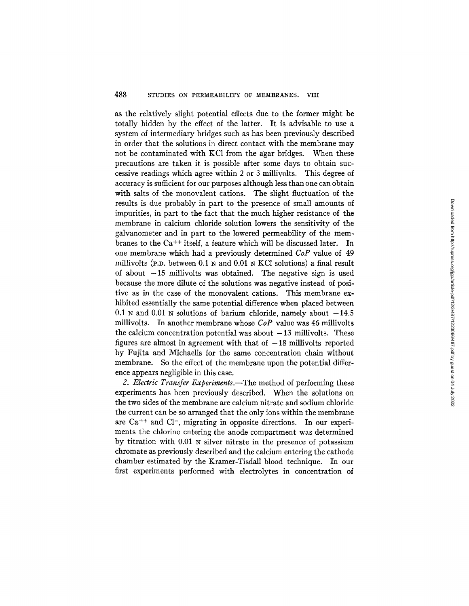as the relatively slight potential effects due to the former might be totally hidden by the effect of the latter. It is advisable to use a system of intermediary bridges such as has been previously described in order that the solutions in direct contact with the membrane may not be contaminated with KC1 from the ggar bridges. When these precautions are taken it is possible after some days to obtain successive readings which agree within 2 or 3 millivolts. This degree of accuracy is sufficient for our purposes although less than one can obtain with salts of the monovalent cations. The slight fluctuation of the results is due probably in part to the presence of small amounts of impurities, in part to the fact that the much higher resistance of the membrane in calcium chloride solution lowers the sensitivity of the galvanometer and in part to the lowered permeability of the membranes to the Ca<sup>++</sup> itself, a feature which will be discussed later. In one membrane which had a previously determined *CoP* value of 49 millivolts (P.D. between  $0.1$  N and  $0.01$  N KCl solutions) a final result of about  $-15$  millivolts was obtained. The negative sign is used because the more dilute of the solutions was negative instead of positive as in the case of the monovalent cations. This membrane exhibited essentially the same potential difference when placed between 0.1 N and 0.01 N solutions of barium chloride, namely about  $-14.5$ millivolts. In another membrane whose *CoP* value was 46 millivolts the calcium concentration potential was about  $-13$  millivolts. These figures are almost in agreement with that of  $-18$  millivolts reported by Fujita and Michaelis for the same concentration chain without membrane. So the effect of the membrane upon the potential difference appears negligible in this case.

2. Electric Transfer Experiments.-The method of performing these experiments has been previously described. When the solutions on the two sides of the membrane are calcium nitrate and sodium chloride the current can be so arranged that the only ions within the membrane are  $Ca^{++}$  and  $Cl^-$ , migrating in opposite directions. In our experiments the chlorine entering the anode compartment was determined by titration with 0.01 N silver nitrate in the presence of potassium chromate as previously described and the calcium entering the cathode chamber estimated by the Kramer-Tisdall blood technique. In our first experiments performed with electrolytes in concentration of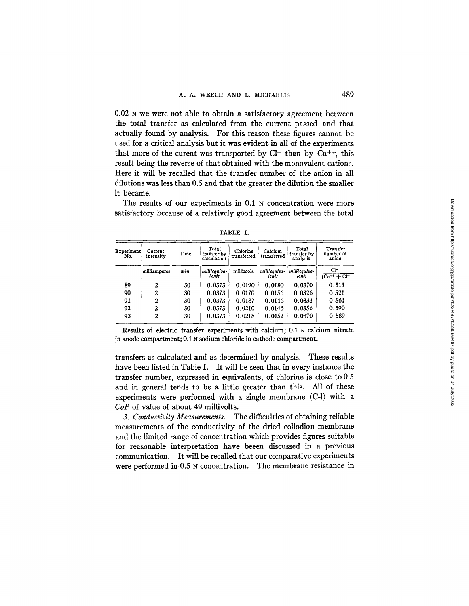0.02 N we were not able to obtain a satisfactory agreement between the total transfer as calculated from the current passed and that actually found by analysis. For this reason these figures cannot be used for a critical analysis but it was evident in all of the experiments that more of the curent was transported by  $Cl^-$  than by  $Ca^{++}$ , this result being the reverse of that obtained with the monovalent cations. Here it will be recalled that the transfer number of the anion in all dilutions was less than 0.5 and that the greater the dilution the smaller it became.

The results of our experiments in 0.1 N concentration were more satisfactory because of a relatively good agreement between the total

| Experiment<br>No. | Current<br>intensity<br>milliamperes | Time<br>min. | Total<br>transfer by<br>calculation<br>milliequiva-<br>lents | Chlorine<br>transferred<br>millimols | Calcium<br>transferred<br>milliequiva-<br>lents | Total<br>transfer by<br>analysis<br>milliequiva-<br>lents | Transfer<br>number of<br>anion<br>$Cl^-$<br>$\frac{1}{2}$ Ca <sup>++</sup> + Cl <sup>-</sup> |
|-------------------|--------------------------------------|--------------|--------------------------------------------------------------|--------------------------------------|-------------------------------------------------|-----------------------------------------------------------|----------------------------------------------------------------------------------------------|
|                   |                                      |              |                                                              |                                      |                                                 |                                                           |                                                                                              |
| 90                |                                      | 30           | 0.0373                                                       | 0.0170                               | 0.0156                                          | 0.0326                                                    | 0.521                                                                                        |
| 91                | ົ                                    | 30           | 0.0373                                                       | 0.0187                               | 0.0146                                          | 0.0333                                                    | 0.561                                                                                        |
| 92                |                                      | 30           | 0.0373                                                       | 0.0210                               | 0.0146                                          | 0.0356                                                    | 0.590                                                                                        |
| 93                | າ                                    | 30           | 0.0373                                                       | 0.0218                               | 0.0152                                          | 0.0370                                                    | 0.589                                                                                        |

TABLE I.

Results of electric transfer experiments with calcium; 0.1 N calcium nitrate in anode compartment; 0.1 N sodium chloride in cathode compartment.

transfers as calculated and as determined by analysis. These results have been listed in Table I. It will be seen that in every instance the transfer number, expressed in equivalents, of chlorine is close to 0.5 and in general tends to be a little greater than this. All of these experiments were performed with a single membrane (C-l) with a *CoP* of value of about 49 millivolts.

*3. Conductivity Measurements.--The* difficulties of obtaining reliable measurements of the conductivity of the dried collodion membrane and the limited range of concentration which provides figures suitable for reasonable interpretation have beeen discussed in a previous communication. It will be recalled that our comparative experiments were performed in 0.5 N concentration. The membrane resistance in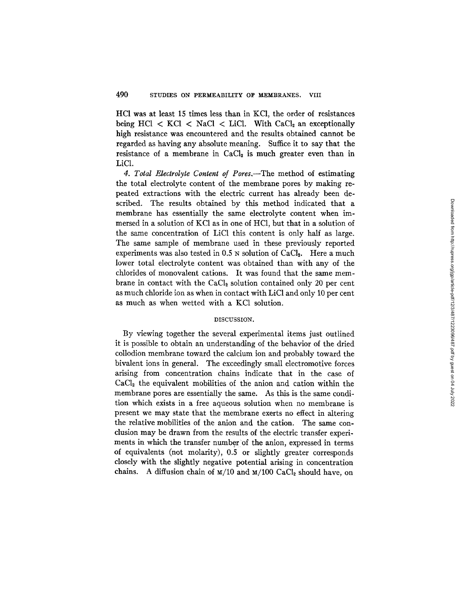HC1 was at least 15 times less than in KC1, the order of resistances being HCl  $\lt$  KCl  $\lt$  NaCl  $\lt$  LiCl. With CaCl<sub>2</sub> an exceptionally high resistance was encountered and the results obtained cannot be regarded as having any absolute meaning. Suffice it to say that the resistance of a membrane in  $CaCl<sub>2</sub>$  is much greater even than in LiC1.

*4. Total Electrolyte Content of Pores,--The* method of estimating the total electrolyte content of the membrane pores by making repeated extractions with the electric current has already been described. The results obtained by this method indicated that a membrane has essentially the same electrolyte content when immersed in a solution of KC1 as in one of HC1, but that in a solution of the same concentration of LiC1 this content is only half as large. The same sample of membrane used in these previously reported experiments was also tested in  $0.5$  N solution of CaCl<sub>2</sub>. Here a much lower total electrolyte content was obtained than with any of the chlorides of monovalent cations. It was found that the same membrane in contact with the  $CaCl<sub>2</sub>$  solution contained only 20 per cent as much chloride ion as when in contact with LiC1 and only 10 per cent as much as when wetted with a KCl solution.

#### DISCUSSION.

By viewing together the several experimental items just outlined it is possible to obtain an understanding of the behavior of the dried collodion membrane toward the calcium ion and probably toward the bivalent ions in general. The exceedingly small electromotive forces arising from concentration chains indicate that in the case of  $CaCl<sub>2</sub>$  the equivalent mobilities of the anion and cation within the membrane pores are essentially the same. As this is the same condition which exists in a free aqueous solution when no membrane is present we may state that the membrane exerts no effect in altering the relative mobilities of the anion and the cation. The same conclusion may be drawn from the results of the electric transfer experiments in which the transfer number of the anion, expressed in terms of equivalents (not molarity), 0.5 or slightly greater corresponds closely with the slightly negative potential arising in concentration chains. A diffusion chain of  $M/10$  and  $M/100$  CaCl<sub>2</sub> should have, on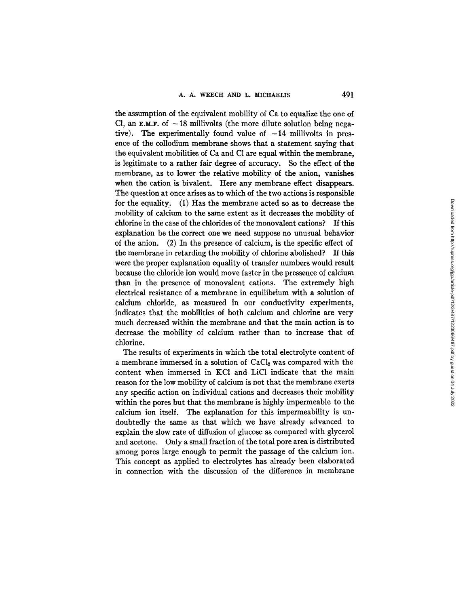the assumption of the equivalent mobility of Ca to equalize the one of Cl, an  $E.M.F.$  of  $-18$  millivolts (the more dilute solution being negative). The experimentally found value of  $-14$  millivolts in presence of the collodium membrane shows that a statement saying that the equivalent mobilities of Ca and C1 are equal within the membrane, is legitimate to a rather fair degree of accuracy. So the effect of the membrane, as to lower the relative mobility of the anion, vanishes when the cation is bivalent. Here any membrane effect disappears. The question at once arises as to which of the two actions is responsible for the equality. (1) Has the membrane acted so as to decrease the mobility of calcium to the same extent as it decreases the mobility of chlorine in the case of the chlorides of the monovalent cations? If this explanation be the correct one we need suppose no unusual behavior of the anion. (2) In the presence of calcium, is the specific effect of the membrane in retarding the mobility of chlorine abolished? If this were the proper explanation equality of transfer numbers would result because the chloride ion would move faster in the pressence of calcium than in the presence of monovalent cations. The extremely high electrical resistance of a membrane in equilibrium with a solution of calcium chloride, as measured in our conductivity experiments, indicates that the mobilities of both calcium and chlorine are very much decreased within the membrane and that the main action is to decrease the mobility of calcium rather than to increase that of chlorine.

The results of experiments in which the total electrolyte content of a membrane immersed in a solution of CaCl<sub>2</sub> was compared with the content when immersed in KC1 and LiC1 indicate that the main reason for the low mobility of calcium is not that the membrane exerts any specific action on individual cations and decreases their mobility within the pores but that the membrane is highly impermeable to the calcium ion itself. The explanation for this impermeability is undoubtedly the same as that which we have already advanced to explain the slow rate of diffusion of glucose as compared with glycerol and acetone. Only a small fraction of the total pore area is distributed among pores large enough to permit the passage of the calcium ion. This concept as applied to electrolytes has already been elaborated in connection with the discussion of the difference in membrane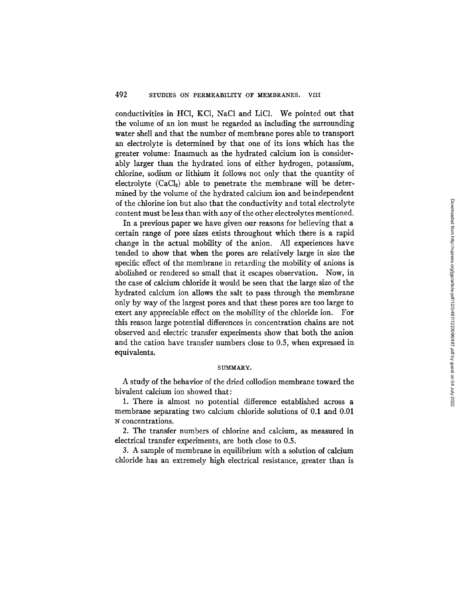conductivities in HC1, KCI, NaCI and LiC1. We pointed out that the volume of an ion must be regarded as including the surrounding water shell and that the number of membrane pores able to transport an electrolyte is determined by that one of its ions which has the greater volume: Inasmuch as the hydrated calcium ion is considerably larger than the hydrated ions of either hydrogen, potassium, chlorine, sodium or lithium it follows not only that the quantity of electrolyte  $(CaCl<sub>2</sub>)$  able to penetrate the membrane will be determined by the volume of the hydrated calcium ion and be independent of the chlorine ion but also that the conductivity and total electrolyte content must be less than with any of the other electrolytes mentioned.

In a previous paper we have given our reasons for believing that a certain range of pore sizes exists throughout which there is a rapid change in the actual mobility of the anion. All experiences have tended to show that when the pores are relatively large in size the specific effect of the membrane in retarding the mobility of anions is abolished or rendered so small that it escapes observation. Now, in the case of calcium chloride it would be seen that the large size of the hydrated calcium ion allows the salt to pass through the membrane only by way of the largest pores and that these pores are too large to exert any appreciable effect on the mobility of the chloride ion. For this reason large potential differences in concentration chains are not observed and electric transfer experiments show that both the anion and the cation have transfer numbers close to 0.5, when expressed in equivalents.

#### SUMMARY.

A study of the behavior of the dried collodion membrane toward the bivalent calcium ion showed that:

1. There is almost no potential difference established across a membrane separating two calcium chloride solutions of 0.1 and 0.01 N concentrations.

2. The transfer numbers of chlorine and calcium, as measured in electrical transfer experiments, are both close to 0.5.

3. A sample of membrane in equilibrium with a solution of calcium chloride has an extremely high electrical resistance, greater than is